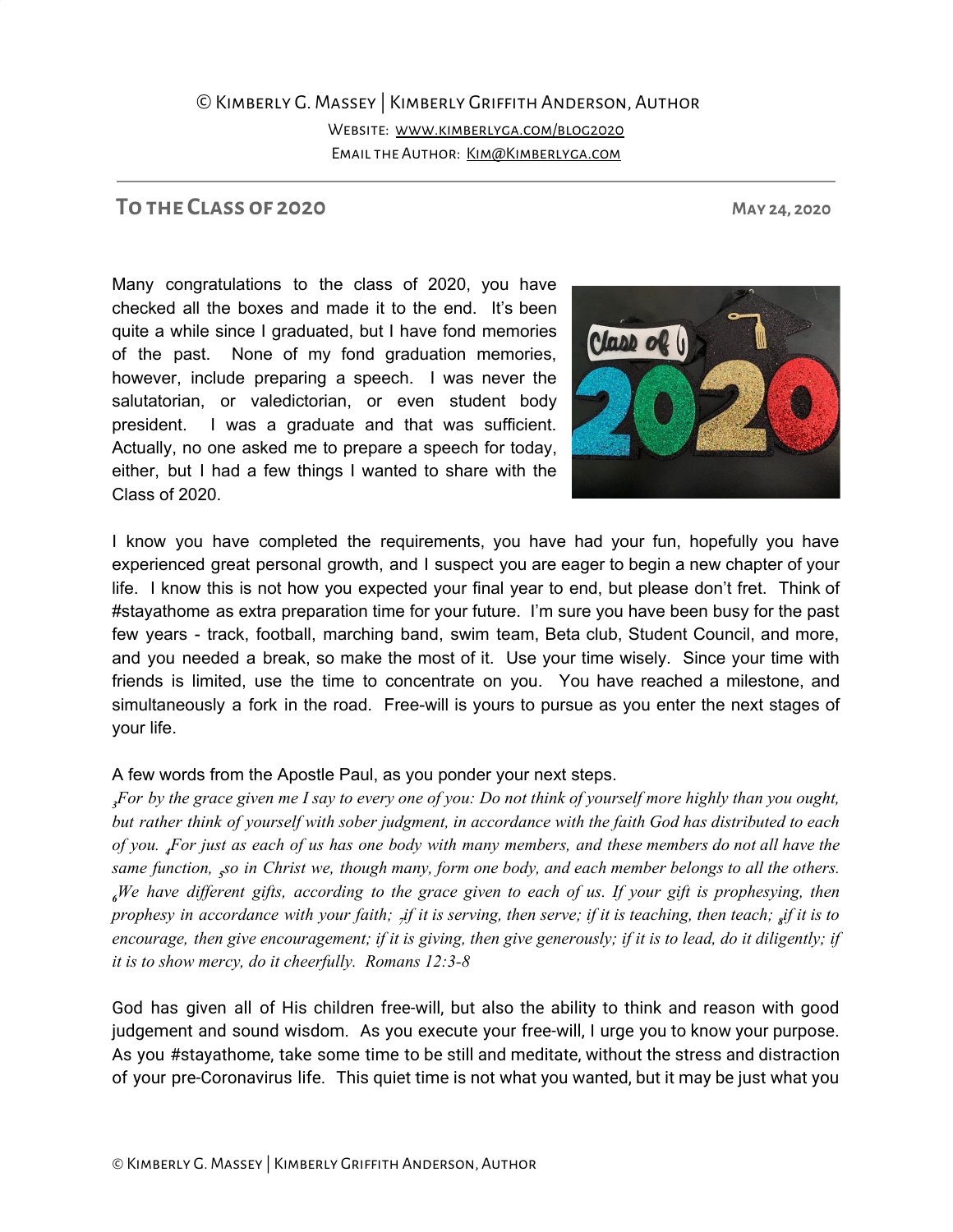## ©Kimberly G. Massey | Kimberly Griffith Anderson, Author Website: [www.kimberlyga.com/blog2020](http://www.kimberlyga.com/blog2020) Email the Author: [Kim@Kimberlyga.com](mailto:Kim@Kimberlyga.com)

## **To the Class of 2020 May 24, 2020**

Many congratulations to the class of 2020, you have checked all the boxes and made it to the end. It's been quite a while since I graduated, but I have fond memories of the past. None of my fond graduation memories, however, include preparing a speech. I was never the salutatorian, or valedictorian, or even student body president. I was a graduate and that was sufficient. Actually, no one asked me to prepare a speech for today, either, but I had a few things I wanted to share with the Class of 2020.

I know you have completed the requirements, you have had your fun, hopefully you have experienced great personal growth, and I suspect you are eager to begin a new chapter of your life. I know this is not how you expected your final year to end, but please don't fret. Think of #stayathome as extra preparation time for your future. I'm sure you have been busy for the past few years - track, football, marching band, swim team, Beta club, Student Council, and more, and you needed a break, so make the most of it. Use your time wisely. Since your time with friends is limited, use the time to concentrate on you. You have reached a milestone, and simultaneously a fork in the road. Free-will is yours to pursue as you enter the next stages of your life.

## A few words from the Apostle Paul, as you ponder your next steps.

For by the grace given me I say to every one of you: Do not think of yourself more highly than you ought, but rather think of yourself with sober judgment, in accordance with the faith God has distributed to each of you. For just as each of us has one body with many members, and these members do not all have the same function, <sub>s</sub>so in Christ we, though many, form one body, and each member belongs to all the others.  $\mu$ We have different gifts, according to the grace given to each of us. If your gift is prophesying, then prophesy in accordance with your faith; <sub>7</sub>if it is serving, then serve; if it is teaching, then teach; <sub>8</sub>if it is to encourage, then give encouragement; if it is giving, then give generously; if it is to lead, do it diligently; if *it is to show mercy, do it cheerfully. Romans 12:3-8*

God has given all of His children free-will, but also the ability to think and reason with good judgement and sound wisdom. As you execute your free-will, I urge you to know your purpose. As you #stayathome, take some time to be still and meditate, without the stress and distraction of your pre-Coronavirus life. This quiet time is not what you wanted, but it may be just what you

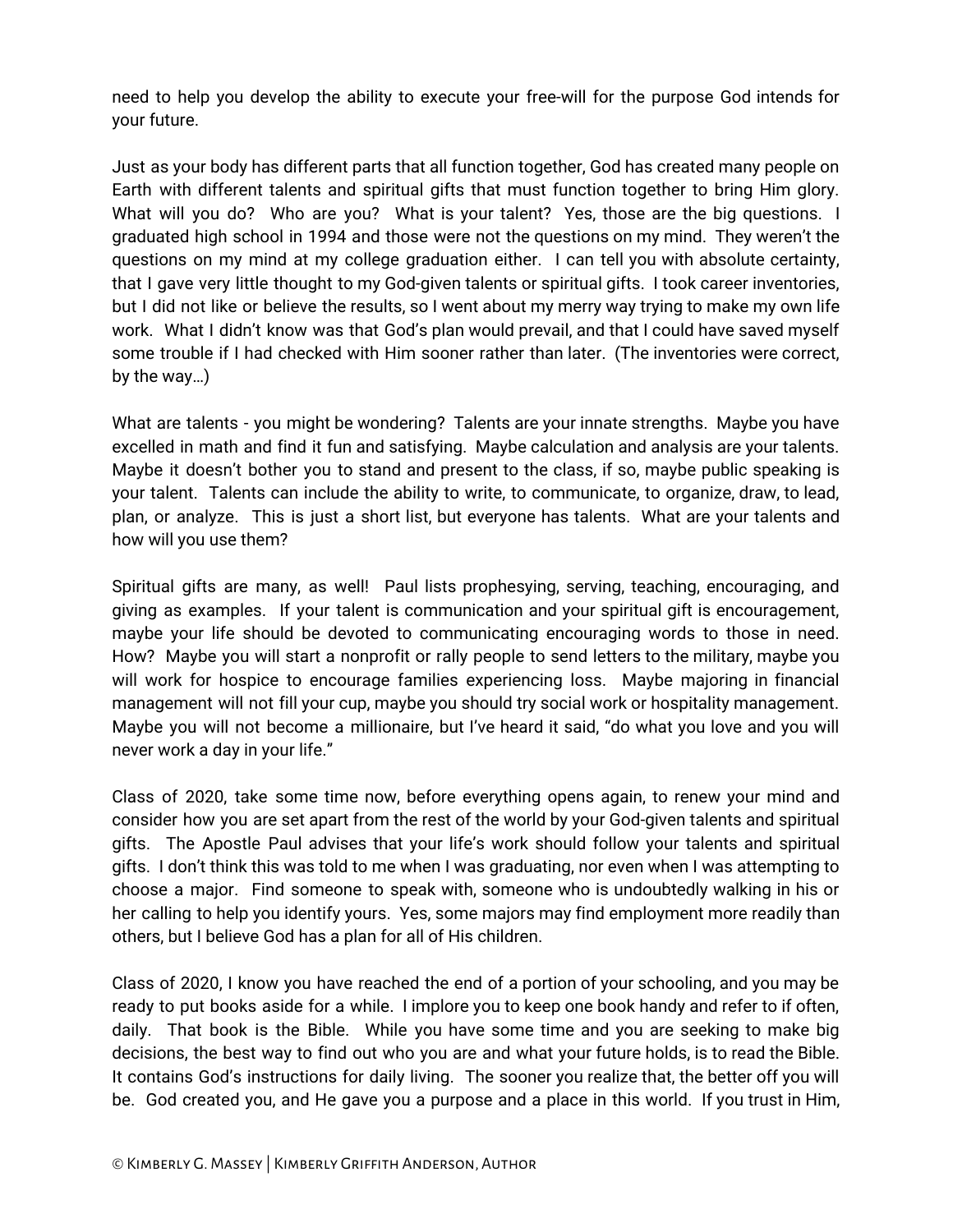need to help you develop the ability to execute your free-will for the purpose God intends for your future.

Just as your body has different parts that all function together, God has created many people on Earth with different talents and spiritual gifts that must function together to bring Him glory. What will you do? Who are you? What is your talent? Yes, those are the big questions. I graduated high school in 1994 and those were not the questions on my mind. They weren't the questions on my mind at my college graduation either. I can tell you with absolute certainty, that I gave very little thought to my God-given talents or spiritual gifts. I took career inventories, but I did not like or believe the results, so I went about my merry way trying to make my own life work. What I didn't know was that God's plan would prevail, and that I could have saved myself some trouble if I had checked with Him sooner rather than later. (The inventories were correct, by the way…)

What are talents - you might be wondering? Talents are your innate strengths. Maybe you have excelled in math and find it fun and satisfying. Maybe calculation and analysis are your talents. Maybe it doesn't bother you to stand and present to the class, if so, maybe public speaking is your talent. Talents can include the ability to write, to communicate, to organize, draw, to lead, plan, or analyze. This is just a short list, but everyone has talents. What are your talents and how will you use them?

Spiritual gifts are many, as well! Paul lists prophesying, serving, teaching, encouraging, and giving as examples. If your talent is communication and your spiritual gift is encouragement, maybe your life should be devoted to communicating encouraging words to those in need. How? Maybe you will start a nonprofit or rally people to send letters to the military, maybe you will work for hospice to encourage families experiencing loss. Maybe majoring in financial management will not fill your cup, maybe you should try social work or hospitality management. Maybe you will not become a millionaire, but I've heard it said, "do what you love and you will never work a day in your life."

Class of 2020, take some time now, before everything opens again, to renew your mind and consider how you are set apart from the rest of the world by your God-given talents and spiritual gifts. The Apostle Paul advises that your life's work should follow your talents and spiritual gifts. I don't think this was told to me when I was graduating, nor even when I was attempting to choose a major. Find someone to speak with, someone who is undoubtedly walking in his or her calling to help you identify yours. Yes, some majors may find employment more readily than others, but I believe God has a plan for all of His children.

Class of 2020, I know you have reached the end of a portion of your schooling, and you may be ready to put books aside for a while. I implore you to keep one book handy and refer to if often, daily. That book is the Bible. While you have some time and you are seeking to make big decisions, the best way to find out who you are and what your future holds, is to read the Bible. It contains God's instructions for daily living. The sooner you realize that, the better off you will be. God created you, and He gave you a purpose and a place in this world. If you trust in Him,